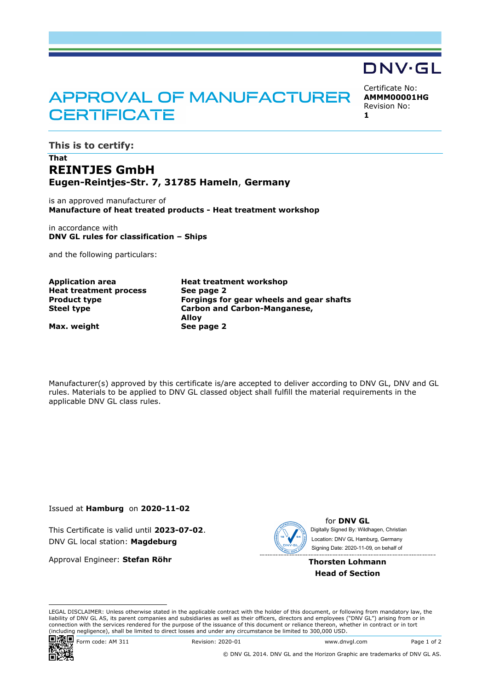## **APPROVAL OF MANUFACTURER CERTIFICATE**

Certificate No: **AMMM00001HG** Revision No:

DNV·GL

**1**

**This is to certify:**

## **That REINTJES GmbH Eugen-Reintjes-Str. 7, 31785 Hameln**, **Germany**

is an approved manufacturer of **Manufacture of heat treated products - Heat treatment workshop**

in accordance with **DNV GL rules for classification – Ships**

and the following particulars:

**Heat treatment process See page 2**

**Application area Heat treatment workshop Product type Forgings for gear wheels and gear shafts Steel type Carbon and Carbon-Manganese, Alloy**

**Max. weight See page 2**

Manufacturer(s) approved by this certificate is/are accepted to deliver according to DNV GL, DNV and GL rules. Materials to be applied to DNV GL classed object shall fulfill the material requirements in the applicable DNV GL class rules.

Issued at **Hamburg** on **2020-11-02**

This Certificate is valid until **2023-07-02**. DNV GL local station: **Magdeburg**

Approval Engineer: **Stefan Röhr**



for **DNV GL** Signing Date: 2020-11-09 , on behalf ofDigitally Signed By: Wildhagen, Christian Location: DNV GL Hamburg, Germany

**Thorsten Lohmann Head of Section**

LEGAL DISCLAIMER: Unless otherwise stated in the applicable contract with the holder of this document, or following from mandatory law, the liability of DNV GL AS, its parent companies and subsidiaries as well as their officers, directors and employees ("DNV GL") arising from or in connection with the services rendered for the purpose of the issuance of this document or reliance thereon, whether in contract or in tort (including negligence), shall be limited to direct losses and under any circumstance be limited to 300,000 USD.



Form code: AM 311 Revision: 2020-01 www.dnvgl.com Page 1 of 2

© DNV GL 2014. DNV GL and the Horizon Graphic are trademarks of DNV GL AS.